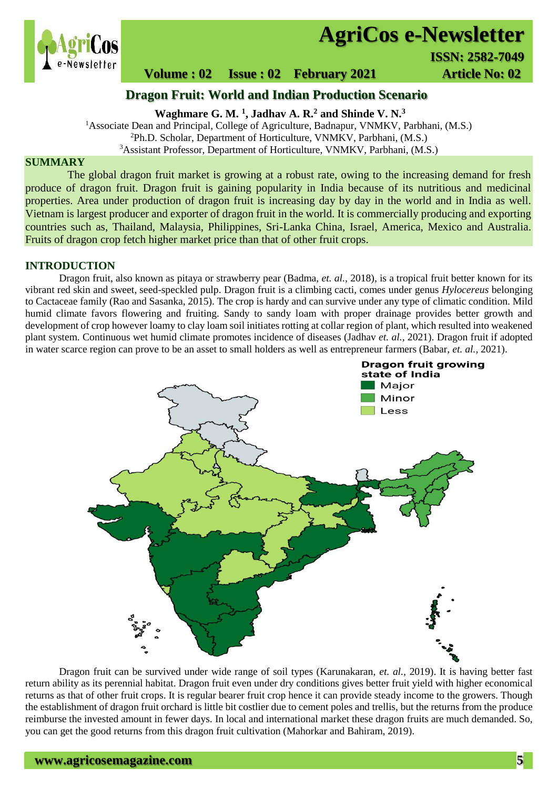

# **AgriCos e-Newsletter**

# **Volume : 02** Issue : 02 February 2021 **Article No: 02**

**Dragon Fruit: World and Indian Production Scenario**

**Waghmare G. M. <sup>1</sup> , Jadhav A. R.<sup>2</sup> and Shinde V. N.<sup>3</sup>**

<sup>1</sup>Associate Dean and Principal, College of Agriculture, Badnapur, VNMKV, Parbhani, (M.S.)

<sup>2</sup>Ph.D. Scholar, Department of Horticulture, VNMKV, Parbhani, (M.S.)

<sup>3</sup>Assistant Professor, Department of Horticulture, VNMKV, Parbhani, (M.S.)

### **SUMMARY**

 The global dragon fruit market is growing at a robust rate, owing to the increasing demand for fresh produce of dragon fruit. Dragon fruit is gaining popularity in India because of its nutritious and medicinal properties. Area under production of dragon fruit is increasing day by day in the world and in India as well. Vietnam is largest producer and exporter of dragon fruit in the world. It is commercially producing and exporting countries such as, Thailand, Malaysia, Philippines, Sri-Lanka China, Israel, America, Mexico and Australia. Fruits of dragon crop fetch higher market price than that of other fruit crops.

### **INTRODUCTION**

Dragon fruit, also known as pitaya or strawberry pear (Badma, *et. al.,* 2018), is a tropical fruit better known for its vibrant red skin and sweet, seed-speckled pulp. Dragon fruit is a climbing cacti, comes under genus *Hylocereus* belonging to Cactaceae family (Rao and Sasanka, 2015). The crop is hardy and can survive under any type of climatic condition. Mild humid climate favors flowering and fruiting. Sandy to sandy loam with proper drainage provides better growth and development of crop however loamy to clay loam soil initiates rotting at collar region of plant, which resulted into weakened plant system. Continuous wet humid climate promotes incidence of diseases (Jadhav *et. al.,* 2021). Dragon fruit if adopted in water scarce region can prove to be an asset to small holders as well as entrepreneur farmers (Babar, *et. al.,* 2021).



Dragon fruit can be survived under wide range of soil types (Karunakaran, *et. al.,* 2019). It is having better fast return ability as its perennial habitat. Dragon fruit even under dry conditions gives better fruit yield with higher economical returns as that of other fruit crops. It is regular bearer fruit crop hence it can provide steady income to the growers. Though the establishment of dragon fruit orchard is little bit costlier due to cement poles and trellis, but the returns from the produce reimburse the invested amount in fewer days. In local and international market these dragon fruits are much demanded. So, you can get the good returns from this dragon fruit cultivation (Mahorkar and Bahiram, 2019).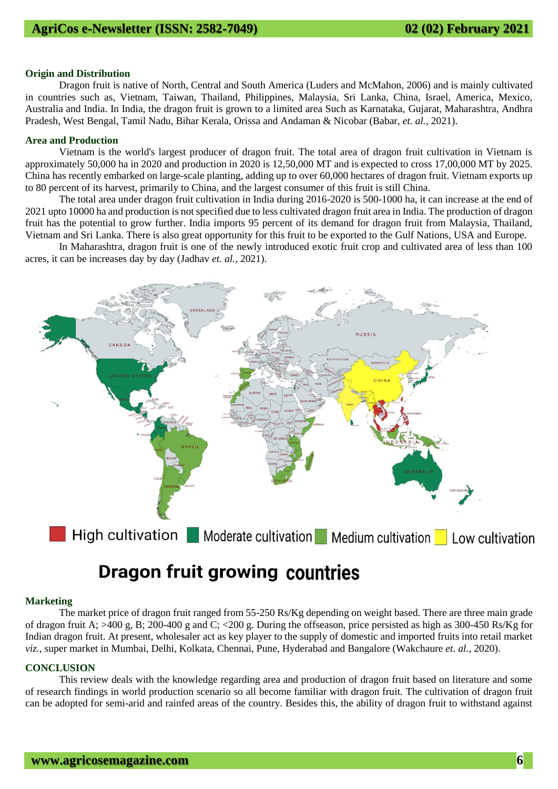#### **Origin and Distribution**

Dragon fruit is native of North, Central and South America (Luders and McMahon, 2006) and is mainly cultivated in countries such as, Vietnam, Taiwan, Thailand, Philippines, Malaysia, Sri Lanka, China, Israel, America, Mexico, Australia and India. In India, the dragon fruit is grown to a limited area Such as Karnataka, Gujarat, Maharashtra, Andhra Pradesh, West Bengal, Tamil Nadu, Bihar Kerala, Orissa and Andaman & Nicobar (Babar, *et. al.,* 2021).

### **Area and Production**

Vietnam is the world's largest producer of dragon fruit. The total area of dragon fruit cultivation in Vietnam is approximately 50,000 ha in 2020 and production in 2020 is 12,50,000 MT and is expected to cross 17,00,000 MT by 2025. China has recently embarked on large-scale planting, adding up to over 60,000 hectares of dragon fruit. Vietnam exports up to 80 percent of its harvest, primarily to China, and the largest consumer of this fruit is still China.

The total area under dragon fruit cultivation in India during 2016-2020 is 500-1000 ha, it can increase at the end of 2021 upto 10000 ha and production is not specified due to less cultivated dragon fruit area in India. The production of dragon fruit has the potential to grow further. India imports 95 percent of its demand for dragon fruit from Malaysia, Thailand, Vietnam and Sri Lanka. There is also great opportunity for this fruit to be exported to the Gulf Nations, USA and Europe.

In Maharashtra, dragon fruit is one of the newly introduced exotic fruit crop and cultivated area of less than 100 acres, it can be increases day by day (Jadhav *et. al.,* 2021).



# **Dragon fruit growing countries**

### **Marketing**

The market price of dragon fruit ranged from 55-250 Rs/Kg depending on weight based. There are three main grade of dragon fruit A; >400 g, B; 200-400 g and C; <200 g. During the offseason, price persisted as high as 300-450 Rs/Kg for Indian dragon fruit. At present, wholesaler act as key player to the supply of domestic and imported fruits into retail market *viz.,* super market in Mumbai, Delhi, Kolkata, Chennai, Pune, Hyderabad and Bangalore (Wakchaure *et. al.,* 2020).

#### **CONCLUSION**

This review deals with the knowledge regarding area and production of dragon fruit based on literature and some of research findings in world production scenario so all become familiar with dragon fruit. The cultivation of dragon fruit can be adopted for semi-arid and rainfed areas of the country. Besides this, the ability of dragon fruit to withstand against